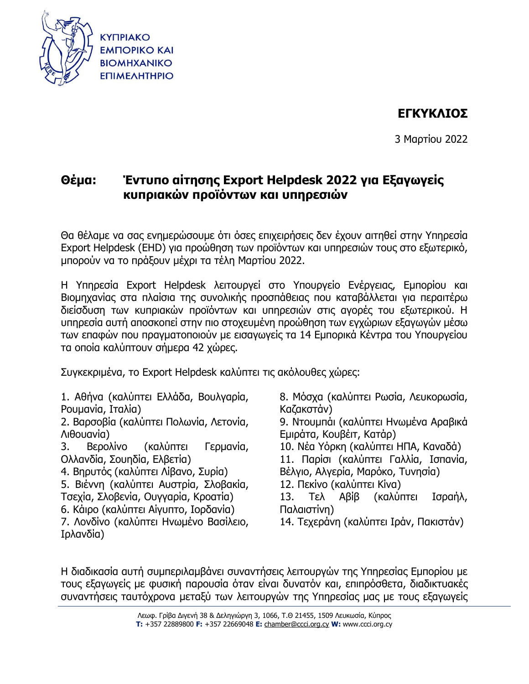

# **ΕΓΚΥΚΛΙΟΣ**

3 Μαρτίου 2022

# **Θέμα: Έντυπο αίτησης Export Helpdesk 2022 για Εξαγωγείς κυπριακών προϊόντων και υπηρεσιών**

Θα θέλαμε να σας ενημερώσουμε ότι όσες επιχειρήσεις δεν έχουν αιτηθεί στην Υπηρεσία Export Helpdesk (EHD) για προώθηση των προϊόντων και υπηρεσιών τους στο εξωτερικό, μπορούν να το πράξουν μέχρι τα τέλη Μαρτίου 2022.

Η Υπηρεσία Export Helpdesk λειτουργεί στο Υπουργείο Ενέργειας, Εμπορίου και Βιομηχανίας στα πλαίσια της συνολικής προσπάθειας που καταβάλλεται για περαιτέρω διείσδυση των κυπριακών προϊόντων και υπηρεσιών στις αγορές του εξωτερικού. Η υπηρεσία αυτή αποσκοπεί στην πιο στοχευμένη προώθηση των εγχώριων εξαγωγών μέσω των επαφών που πραγματοποιούν με εισαγωγείς τα 14 Εμπορικά Κέντρα του Υπουργείου τα οποία καλύπτουν σήμερα 42 χώρες.

Συγκεκριμένα, το Export Helpdesk καλύπτει τις ακόλουθες χώρες:

1. Αθήνα (καλύπτει Ελλάδα, Βουλγαρία, Ρουμανία, Ιταλία)

2. Βαρσοβία (καλύπτει Πολωνία, Λετονία, Λιθουανία)

3. Βερολίνο (καλύπτει Γερμανία, Ολλανδία, Σουηδία, Ελβετία)

4. Βηρυτός (καλύπτει Λίβανο, Συρία)

5. Βιέννη (καλύπτει Αυστρία, Σλοβακία, Τσεχία, Σλοβενία, Ουγγαρία, Κροατία)

6. Κάιρο (καλύπτει Αίγυπτο, Ιορδανία)

7. Λονδίνο (καλύπτει Ηνωμένο Βασίλειο, Ιρλανδία)

8. Μόσχα (καλύπτει Ρωσία, Λευκορωσία, Καζακστάν)

9. Ντουμπάι (καλύπτει Ηνωμένα Αραβικά Εμιράτα, Κουβέιτ, Κατάρ)

10. Νέα Υόρκη (καλύπτει ΗΠΑ, Καναδά)

11. Παρίσι (καλύπτει Γαλλία, Ισπανία, Βέλγιο, Αλγερία, Μαρόκο, Τυνησία)

- 12. Πεκίνο (καλύπτει Κίνα)
- 13. Τελ Αβίβ (καλύπτει Ισραήλ, Παλαιστίνη)
- 14. Τεχεράνη (καλύπτει Ιράν, Πακιστάν)

Η διαδικασία αυτή συμπεριλαμβάνει συναντήσεις λειτουργών της Υπηρεσίας Εμπορίου με τους εξαγωγείς με φυσική παρουσία όταν είναι δυνατόν και, επιπρόσθετα, διαδικτυακές συναντήσεις ταυτόχρονα μεταξύ των λειτουργών της Υπηρεσίας μας με τους εξαγωγείς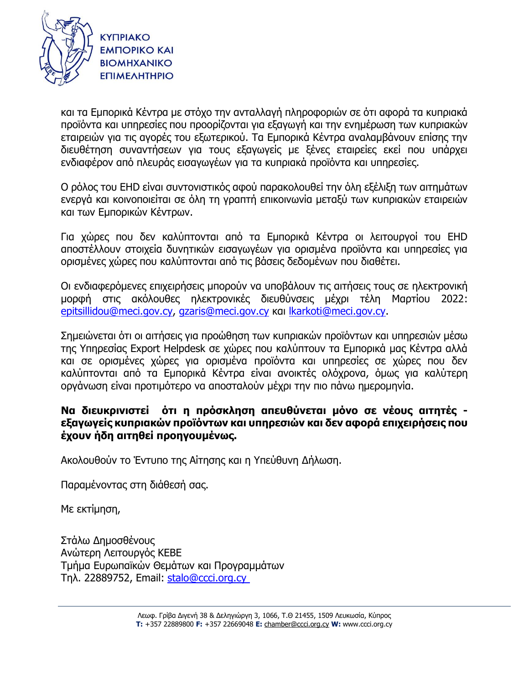

και τα Εμπορικά Κέντρα με στόχο την ανταλλαγή πληροφοριών σε ότι αφορά τα κυπριακά προϊόντα και υπηρεσίες που προορίζονται για εξαγωγή και την ενημέρωση των κυπριακών εταιρειών για τις αγορές του εξωτερικού. Τα Εμπορικά Κέντρα αναλαμβάνουν επίσης την διευθέτηση συναντήσεων για τους εξαγωγείς με ξένες εταιρείες εκεί που υπάρχει ενδιαφέρον από πλευράς εισαγωγέων για τα κυπριακά προϊόντα και υπηρεσίες.

Ο ρόλος του EHD είναι συντονιστικός αφού παρακολουθεί την όλη εξέλιξη των αιτημάτων ενεργά και κοινοποιείται σε όλη τη γραπτή επικοινωνία μεταξύ των κυπριακών εταιρειών και των Εμπορικών Κέντρων.

Για χώρες που δεν καλύπτονται από τα Εμπορικά Κέντρα οι λειτουργοί του EHD αποστέλλουν στοιχεία δυνητικών εισαγωγέων για ορισμένα προϊόντα και υπηρεσίες για ορισμένες χώρες που καλύπτονται από τις βάσεις δεδομένων που διαθέτει.

Οι ενδιαφερόμενες επιχειρήσεις μπορούν να υποβάλουν τις αιτήσεις τους σε ηλεκτρονική μορφή στις ακόλουθες ηλεκτρονικές διευθύνσεις μέχρι τέλη Μαρτίου 2022: [epitsillidou@meci.gov.cy,](mailto:epitsillidou@meci.gov.cy) [gzaris@meci.gov.cy](mailto:gzaris@meci.gov.cy) και [lkarkoti@meci.gov.cy.](mailto:lkarkoti@meci.gov.cy)

Σημειώνεται ότι οι αιτήσεις για προώθηση των κυπριακών προϊόντων και υπηρεσιών μέσω της Υπηρεσίας Export Helpdesk σε χώρες που καλύπτουν τα Εμπορικά μας Κέντρα αλλά και σε ορισμένες χώρες για ορισμένα προϊόντα και υπηρεσίες σε χώρες που δεν καλύπτονται από τα Εμπορικά Κέντρα είναι ανοικτές ολόχρονα, όμως για καλύτερη οργάνωση είναι προτιμότερο να αποσταλούν μέχρι την πιο πάνω ημερομηνία.

# **Να διευκρινιστεί ότι η πρόσκληση απευθύνεται μόνο σε νέους αιτητές εξαγωγείς κυπριακών προϊόντων και υπηρεσιών και δεν αφορά επιχειρήσεις που έχουν ήδη αιτηθεί προηγουμένως.**

Ακολουθούν το Έντυπο της Αίτησης και η Υπεύθυνη Δήλωση.

Παραμένοντας στη διάθεσή σας.

Με εκτίμηση,

Στάλω Δημοσθένους Ανώτερη Λειτουργός ΚΕΒΕ Τμήμα Ευρωπαϊκών Θεμάτων και Προγραμμάτων Τηλ. 22889752, Email: [stalo@ccci.org.cy](mailto:stalo@ccci.org.cy)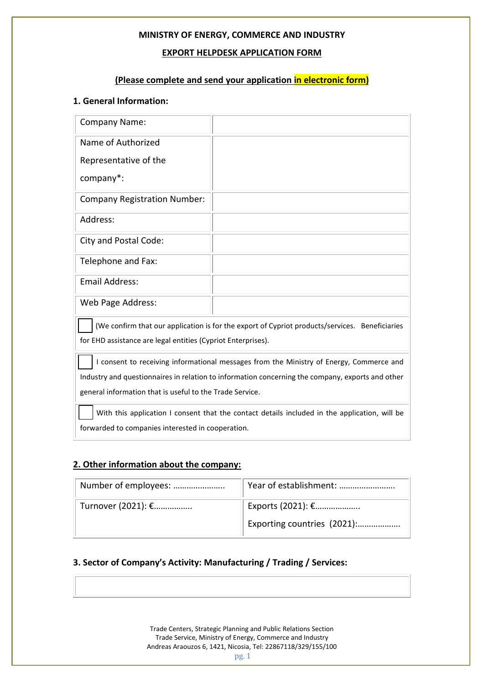## **EXPORT HELPDESK APPLICATION FORM**

# **(Please complete and send your application in electronic form)**

## **1. General Information:**

| (We confirm that our application is for the export of Cypriot products/services. Beneficiaries   |  |  |  |  |  |
|--------------------------------------------------------------------------------------------------|--|--|--|--|--|
| for EHD assistance are legal entities (Cypriot Enterprises).                                     |  |  |  |  |  |
| I consent to receiving informational messages from the Ministry of Energy, Commerce and          |  |  |  |  |  |
| Industry and questionnaires in relation to information concerning the company, exports and other |  |  |  |  |  |
| general information that is useful to the Trade Service.                                         |  |  |  |  |  |
|                                                                                                  |  |  |  |  |  |

With this application I consent that the contact details included in the application, will be forwarded to companies interested in cooperation.

## **2. Other information about the company:**

| Number of employees: | Year of establishment:      |
|----------------------|-----------------------------|
| Turnover (2021): €   | Exports (2021): €           |
|                      | Exporting countries (2021): |

# **3. Sector of Company's Activity: Manufacturing / Trading / Services:**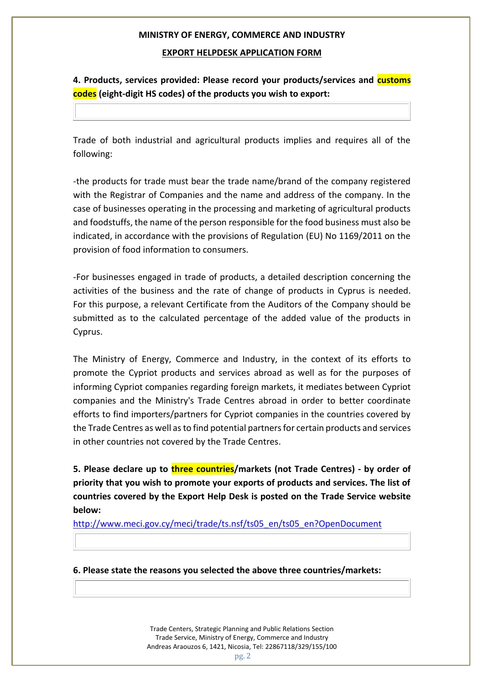#### **EXPORT HELPDESK APPLICATION FORM**

**4. Products, services provided: Please record your products/services and customs codes (eight-digit HS codes) of the products you wish to export:**

Trade of both industrial and agricultural products implies and requires all of the following:

-the products for trade must bear the trade name/brand of the company registered with the Registrar of Companies and the name and address of the company. In the case of businesses operating in the processing and marketing of agricultural products and foodstuffs, the name of the person responsible for the food business must also be indicated, in accordance with the provisions of Regulation (EU) No 1169/2011 on the provision of food information to consumers.

-For businesses engaged in trade of products, a detailed description concerning the activities of the business and the rate of change of products in Cyprus is needed. For this purpose, a relevant Certificate from the Auditors of the Company should be submitted as to the calculated percentage of the added value of the products in Cyprus.

The Ministry of Energy, Commerce and Industry, in the context of its efforts to promote the Cypriot products and services abroad as well as for the purposes of informing Cypriot companies regarding foreign markets, it mediates between Cypriot companies and the Ministry's Trade Centres abroad in order to better coordinate efforts to find importers/partners for Cypriot companies in the countries covered by the Trade Centres as well as to find potential partners for certain products and services in other countries not covered by the Trade Centres.

**5. Please declare up to three countries/markets (not Trade Centres) - by order of priority that you wish to promote your exports of products and services. The list of countries covered by the Export Help Desk is posted on the Trade Service website below:**

http://www.meci.gov.cy/meci/trade/ts.nsf/ts05\_en/ts05\_en?OpenDocument

**6. Please state the reasons you selected the above three countries/markets:**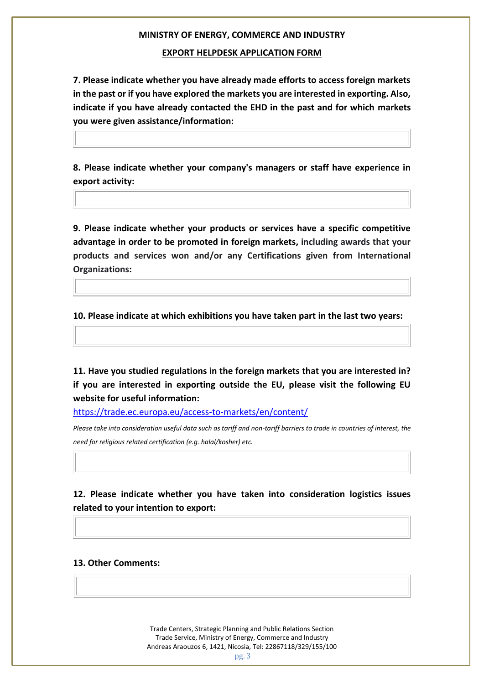## **EXPORT HELPDESK APPLICATION FORM**

**7. Please indicate whether you have already made efforts to access foreign markets in the past or if you have explored the markets you are interested in exporting. Also, indicate if you have already contacted the EHD in the past and for which markets you were given assistance/information:**

**8. Please indicate whether your company's managers or staff have experience in export activity:**

**9. Please indicate whether your products or services have a specific competitive advantage in order to be promoted in foreign markets, including awards that your products and services won and/or any Certifications given from International Organizations:**

**10. Please indicate at which exhibitions you have taken part in the last two years:**

**11. Have you studied regulations in the foreign markets that you are interested in? if you are interested in exporting outside the EU, please visit the following EU website for useful information:** 

https://trade.ec.europa.eu/access-to-markets/en/content/

*Please take into consideration useful data such as tariff and non-tariff barriers to trade in countries of interest, the need for religious related certification (e.g. halal/kosher) etc.* 

**12. Please indicate whether you have taken into consideration logistics issues related to your intention to export:**

#### **13. Other Comments:**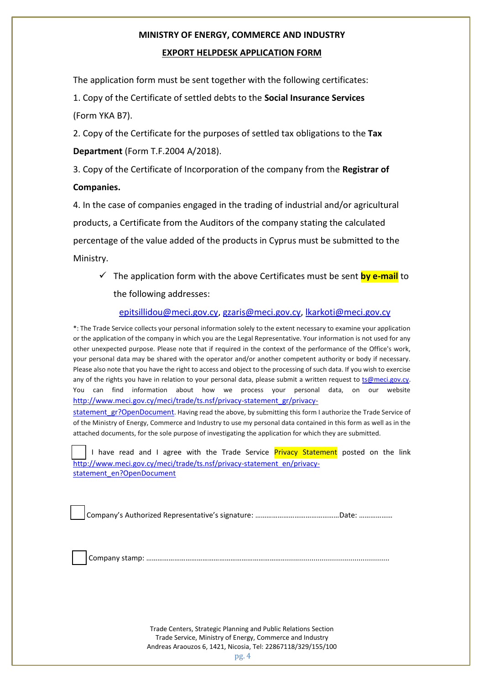### **EXPORT HELPDESK APPLICATION FORM**

The application form must be sent together with the following certificates:

1. Copy of the Certificate of settled debts to the **Social Insurance Services**  (Form YKA B7).

2. Copy of the Certificate for the purposes of settled tax obligations to the **Tax Department** (Form T.F.2004 A/2018).

3. Copy of the Certificate of Incorporation of the company from the **Registrar of Companies.**

4. In the case of companies engaged in the trading of industrial and/or agricultural products, a Certificate from the Auditors of the company stating the calculated percentage of the value added of the products in Cyprus must be submitted to the Ministry.

✓ The application form with the above Certificates must be sent **by e-mail** to the following addresses:

epitsillidou@meci.gov.cy, gzaris@meci.gov.cy, lkarkoti@meci.gov.cy

\*: The Trade Service collects your personal information solely to the extent necessary to examine your application or the application of the company in which you are the Legal Representative. Your information is not used for any other unexpected purpose. Please note that if required in the context of the performance of the Office's work, your personal data may be shared with the operator and/or another competent authority or body if necessary. Please also note that you have the right to access and object to the processing of such data. If you wish to exercise any of the rights you have in relation to your personal data, please submit a written request to ts@meci.gov.cy. You can find information about how we process your personal data, on our website http://www.meci.gov.cy/meci/trade/ts.nsf/privacy-statement\_gr/privacy-

statement\_gr?OpenDocument. Having read the above, by submitting this form I authorize the Trade Service of of the Ministry of Energy, Commerce and Industry to use my personal data contained in this form as well as in the attached documents, for the sole purpose of investigating the application for which they are submitted.

I have read and I agree with the Trade Service Privacy Statement posted on the link http://www.meci.gov.cy/meci/trade/ts.nsf/privacy-statement\_en/privacystatement\_en?OpenDocument

Company's Authorized Representative's signature: ………………………………………Date: ………………

Company stamp: ……………………………………………………………….*....................................................*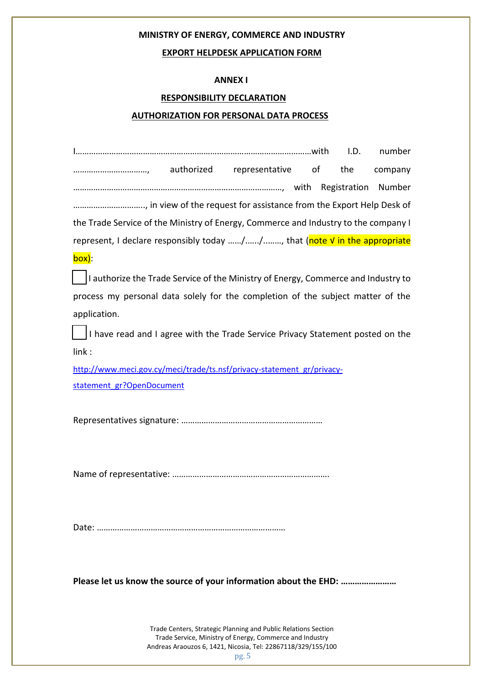### **EXPORT HELPDESK APPLICATION FORM**

### **ANNEX I**

### **RESPONSIBILITY DECLARATION**

#### **AUTHORIZATION FOR PERSONAL DATA PROCESS**

|                                                                                     |  | I.D. | number  |
|-------------------------------------------------------------------------------------|--|------|---------|
|                                                                                     |  |      | company |
|                                                                                     |  |      | Number  |
|                                                                                     |  |      |         |
| the Trade Service of the Ministry of Energy, Commerce and Industry to the company I |  |      |         |
| represent, I declare responsibly today //, that (note V in the appropriate          |  |      |         |
| box):                                                                               |  |      |         |
| I authorize the Trade Service of the Ministry of Energy, Commerce and Industry to   |  |      |         |
| process my personal data solely for the completion of the subject matter of the     |  |      |         |
| application.                                                                        |  |      |         |
| I have read and I agree with the Trade Service Privacy Statement posted on the      |  |      |         |
| link:                                                                               |  |      |         |
| http://www.meci.gov.cy/meci/trade/ts.nsf/privacy-statement_gr/privacy-              |  |      |         |
| statement gr?OpenDocument                                                           |  |      |         |
|                                                                                     |  |      |         |
|                                                                                     |  |      |         |
|                                                                                     |  |      |         |
|                                                                                     |  |      |         |

**Please let us know the source of your information about the EHD: ……………………**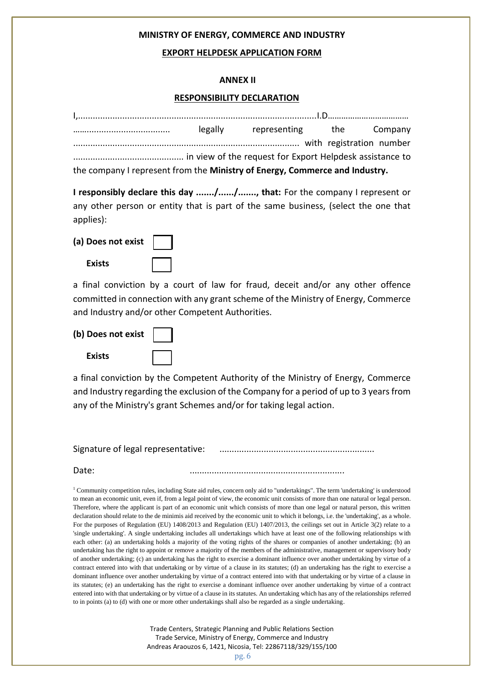#### **EXPORT HELPDESK APPLICATION FORM**

#### **ANNEX II**

#### **RESPONSIBILITY DECLARATION**

|                                                                             | legally representing the Company |  |
|-----------------------------------------------------------------------------|----------------------------------|--|
| with registration number (in the number of the number of the number)        |                                  |  |
|                                                                             |                                  |  |
| the company I represent from the Ministry of Energy, Commerce and Industry. |                                  |  |

**I responsibly declare this day ......./....../......., that:** For the company I represent or any other person or entity that is part of the same business, (select the one that applies):

| (a) Does not exist |  |
|--------------------|--|
|--------------------|--|

a final conviction by a court of law for fraud, deceit and/or any other offence committed in connection with any grant scheme of the Ministry of Energy, Commerce and Industry and/or other Competent Authorities.

**(b) Does not exist** 

 **Exists** 

| ___ |  |  |
|-----|--|--|
|     |  |  |
|     |  |  |
|     |  |  |
|     |  |  |
| __  |  |  |
|     |  |  |
|     |  |  |
|     |  |  |
|     |  |  |
|     |  |  |
|     |  |  |
|     |  |  |

a final conviction by the Competent Authority of the Ministry of Energy, Commerce and Industry regarding the exclusion of the Company for a period of up to 3 years from any of the Ministry's grant Schemes and/or for taking legal action.

Signature of legal representative: ...............................................................

Date: ...............................................................

<sup>1</sup> Community competition rules, including State aid rules, concern only aid to "undertakings". The term 'undertaking' is understood to mean an economic unit, even if, from a legal point of view, the economic unit consists of more than one natural or legal person. Therefore, where the applicant is part of an economic unit which consists of more than one legal or natural person, this written declaration should relate to the de minimis aid received by the economic unit to which it belongs, i.e. the 'undertaking', as a whole. For the purposes of Regulation (EU) 1408/2013 and Regulation (EU) 1407/2013, the ceilings set out in Article 3(2) relate to a 'single undertaking'. A single undertaking includes all undertakings which have at least one of the following relationships with each other: (a) an undertaking holds a majority of the voting rights of the shares or companies of another undertaking; (b) an undertaking has the right to appoint or remove a majority of the members of the administrative, management or supervisory body of another undertaking; (c) an undertaking has the right to exercise a dominant influence over another undertaking by virtue of a contract entered into with that undertaking or by virtue of a clause in its statutes; (d) an undertaking has the right to exercise a dominant influence over another undertaking by virtue of a contract entered into with that undertaking or by virtue of a clause in its statutes; (e) an undertaking has the right to exercise a dominant influence over another undertaking by virtue of a contract entered into with that undertaking or by virtue of a clause in its statutes. An undertaking which has any of the relationships referred to in points (a) to (d) with one or more other undertakings shall also be regarded as a single undertaking.